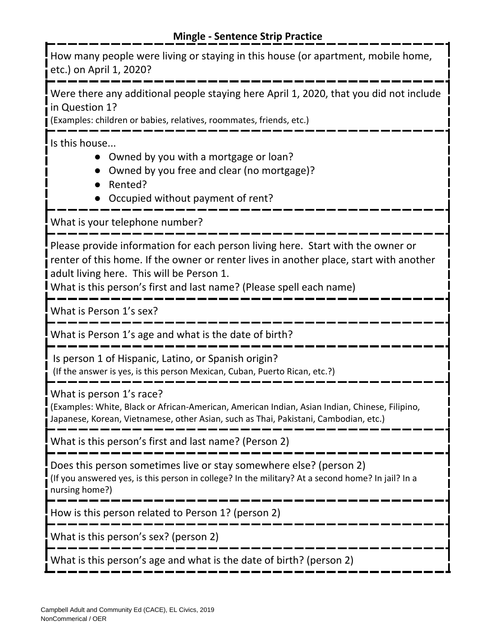How many people were living or staying in this house (or apartment, mobile home, etc.) on April 1, 2020?

Were there any additional people staying here April 1, 2020, that you did not include in Question 1?

(Examples: children or babies, relatives, roommates, friends, etc.)

Is this house...

- Owned by you with a mortgage or loan?
- Owned by you free and clear (no mortgage)?
- Rented?
- Occupied without payment of rent?

What is your telephone number?

Please provide information for each person living here. Start with the owner or renter of this home. If the owner or renter lives in another place, start with another adult living here. This will be Person 1.

What is this person's first and last name? (Please spell each name)

What is Person 1's sex?

What is Person 1's age and what is the date of birth?

Is person 1 of Hispanic, Latino, or Spanish origin?

(If the answer is yes, is this person Mexican, Cuban, Puerto Rican, etc.?)

What is person 1's race?

(Examples: White, Black or African-American, American Indian, Asian Indian, Chinese, Filipino, Japanese, Korean, Vietnamese, other Asian, such as Thai, Pakistani, Cambodian, etc.)

What is this person's first and last name? (Person 2)

Does this person sometimes live or stay somewhere else? (person 2) (If you answered yes, is this person in college? In the military? At a second home? In jail? In a nursing home?)

How is this person related to Person 1? (person 2)

What is this person's sex? (person 2)

What is this person's age and what is the date of birth? (person 2)